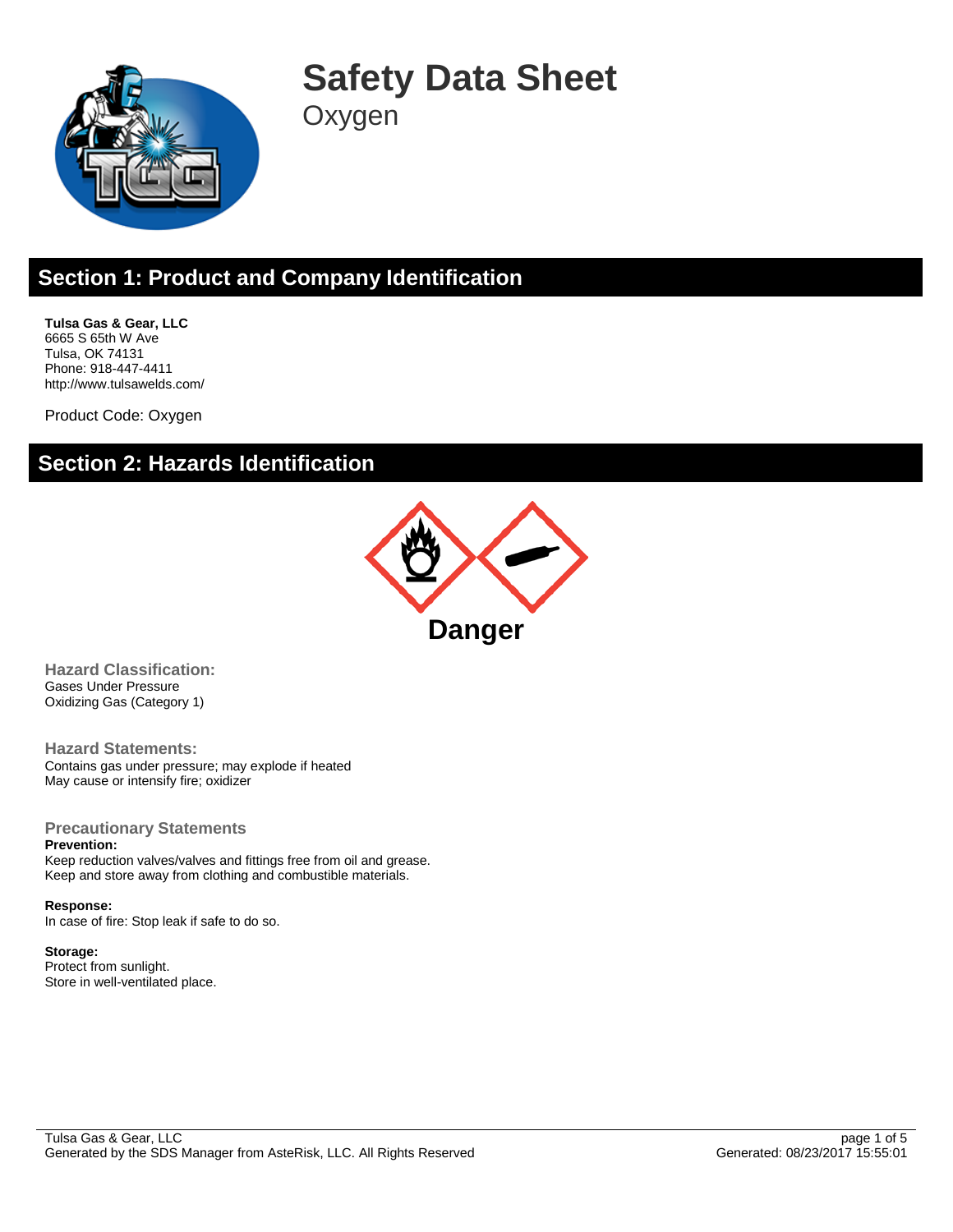

# **Safety Data Sheet**

**Oxygen** 

# **Section 1: Product and Company Identification**

**Tulsa Gas & Gear, LLC** 6665 S 65th W Ave Tulsa, OK 74131 Phone: 918-447-4411 http://www.tulsawelds.com/

Product Code: Oxygen

### **Section 2: Hazards Identification**



**Hazard Classification:** Gases Under Pressure Oxidizing Gas (Category 1)

**Hazard Statements:** Contains gas under pressure; may explode if heated May cause or intensify fire; oxidizer

#### **Precautionary Statements**

**Prevention:**

Keep reduction valves/valves and fittings free from oil and grease. Keep and store away from clothing and combustible materials.

#### **Response:**

In case of fire: Stop leak if safe to do so.

#### **Storage:**

Protect from sunlight. Store in well-ventilated place.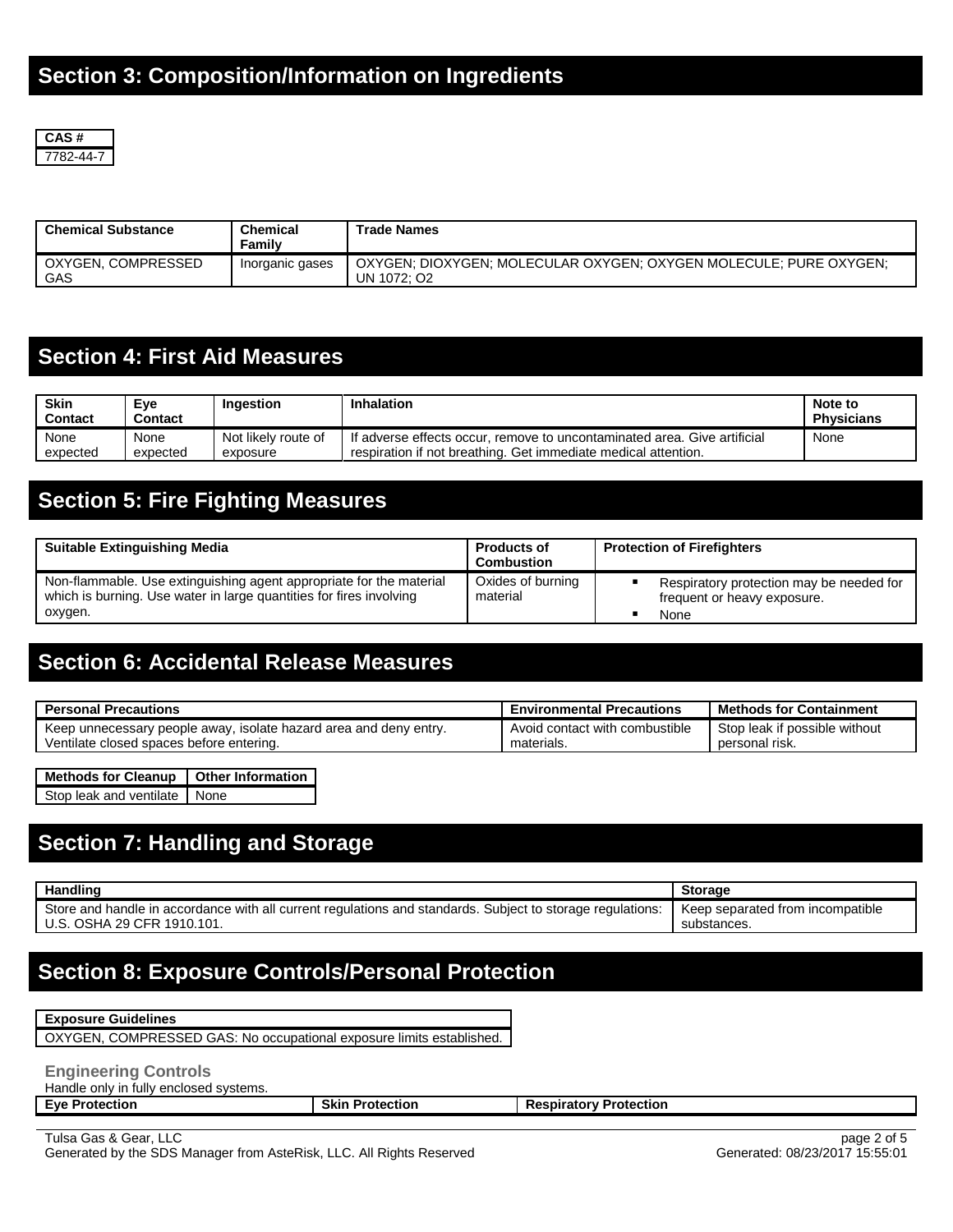

| <b>Chemical Substance</b> | Chemical<br>Family | <b>Trade Names</b>                                                               |
|---------------------------|--------------------|----------------------------------------------------------------------------------|
| OXYGEN, COMPRESSED<br>GAS | Inorganic gases    | OXYGEN: DIOXYGEN: MOLECULAR OXYGEN: OXYGEN MOLECULE: PURE OXYGEN:<br>UN 1072: O2 |

### **Section 4: First Aid Measures**

| <b>Skin</b><br><b>Contact</b> | Eve<br>Contact | Ingestion           | Inhalation                                                               | Note to<br><b>Physicians</b> |
|-------------------------------|----------------|---------------------|--------------------------------------------------------------------------|------------------------------|
| None                          | None           | Not likely route of | If adverse effects occur, remove to uncontaminated area. Give artificial | None                         |
| expected                      | expected       | exposure            | respiration if not breathing. Get immediate medical attention.           |                              |

# **Section 5: Fire Fighting Measures**

| <b>Suitable Extinguishing Media</b>                                                                                                        | Products of<br>Combustion     | <b>Protection of Firefighters</b>                                       |
|--------------------------------------------------------------------------------------------------------------------------------------------|-------------------------------|-------------------------------------------------------------------------|
| Non-flammable. Use extinguishing agent appropriate for the material<br>which is burning. Use water in large quantities for fires involving | Oxides of burning<br>material | Respiratory protection may be needed for<br>frequent or heavy exposure. |
| oxygen.                                                                                                                                    |                               | None                                                                    |

### **Section 6: Accidental Release Measures**

| <b>Personal Precautions</b>                                       | <b>Environmental Precautions</b> | <b>Methods for Containment</b> |
|-------------------------------------------------------------------|----------------------------------|--------------------------------|
| Keep unnecessary people away, isolate hazard area and deny entry. | Avoid contact with combustible   | Stop leak if possible without  |
| Ventilate closed spaces before entering.                          | materials.                       | personal risk.                 |

| Methods for Cleanup   Other Information |  |  |  |
|-----------------------------------------|--|--|--|
| Stop leak and ventilate None            |  |  |  |

### **Section 7: Handling and Storage**

| Handling                                                                                                   | <b>Storage</b>                   |
|------------------------------------------------------------------------------------------------------------|----------------------------------|
| Store and handle in accordance with all current regulations and standards. Subject to storage regulations: | Keep separated from incompatible |
| U.S. OSHA 29 CFR 1910.101.                                                                                 | substances.                      |

### **Section 8: Exposure Controls/Personal Protection**

#### **Exposure Guidelines**

OXYGEN, COMPRESSED GAS: No occupational exposure limits established.

#### **Engineering Controls**

Handle only in fully enclosed systems.

**Eye Protection Skin Protection Respiratory Protection**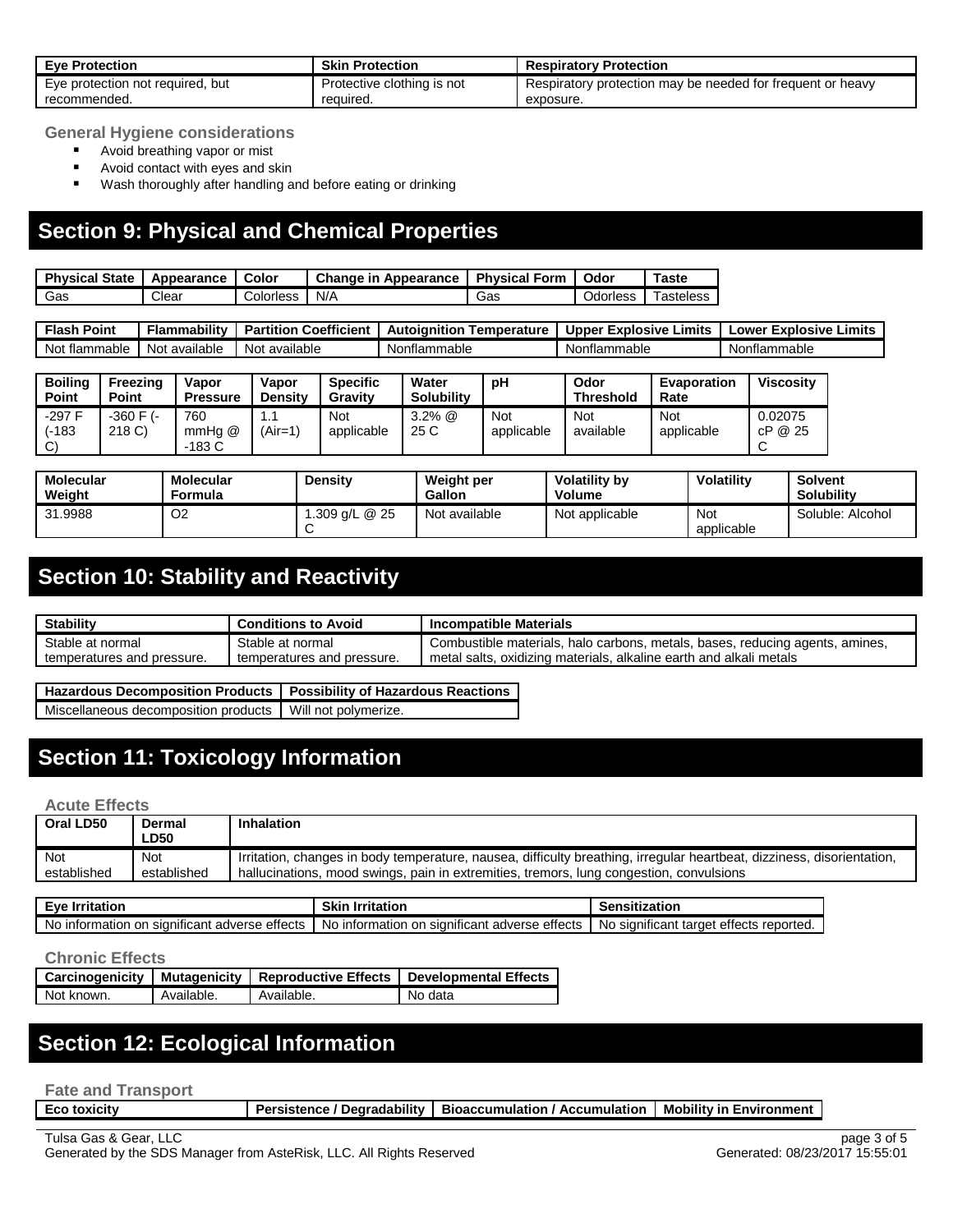| <b>Eve Protection</b>            | <b>Skin Protection</b>     | <b>Respiratory Protection</b>                              |
|----------------------------------|----------------------------|------------------------------------------------------------|
| Eye protection not required, but | Protective clothing is not | Respiratory protection may be needed for frequent or heavy |
| recommended.                     | reauired.                  | exposure.                                                  |

**General Hygiene considerations**

- **Avoid breathing vapor or mist**
- **Avoid contact with eyes and skin**
- Wash thoroughly after handling and before eating or drinking

### **Section 9: Physical and Chemical Properties**

| <b>Physical</b><br><b>State</b> | Appearance | Color     | Change in<br>Appearance | <b>Physical</b><br>Form | Odor     | $T$ aste         |
|---------------------------------|------------|-----------|-------------------------|-------------------------|----------|------------------|
| Gas                             | Clear      | Colorless | N/A                     | Gas                     | Odorless | <b>Tasteless</b> |

**Flash Point Flammability Partition Coefficient Autoignition Temperature Upper Explosive Limits Lower Explosive Limits** Not flammable Not available Not available Nonflammable Nonflammable Nonflammable

| <b>Boiling</b><br><b>Point</b>    | Freezing<br><b>Point</b> | Vapor<br><b>Pressure</b>   | Vapor<br><b>Density</b> | <b>Specific</b><br>Gravity | Water<br><b>Solubility</b> | рH                | Odor<br><b>Threshold</b> | <b>Evaporation</b><br>Rate | Viscositv          |
|-----------------------------------|--------------------------|----------------------------|-------------------------|----------------------------|----------------------------|-------------------|--------------------------|----------------------------|--------------------|
| $-297F$<br>(-183<br>$\mathcal{C}$ | -360 F (-<br>218 C)      | 760<br>$mmHg$ @<br>$-183C$ | 1.1<br>(Air=1)          | Not<br>applicable          | $3.2\%$ @<br>25 C          | Not<br>applicable | <b>Not</b><br>available  | Not<br>applicable          | 0.02075<br>cP @ 25 |

| <b>Molecular</b><br>Weight | <b>Molecular</b><br>Formula | <b>Density</b> | Weight per<br><b>Gallon</b> | <b>Volatility by</b><br><b>Volume</b> | Volatilitv        | Solvent<br><b>Solubility</b> |
|----------------------------|-----------------------------|----------------|-----------------------------|---------------------------------------|-------------------|------------------------------|
| 31.9988                    | O <sub>2</sub>              | .309 g/L @ 25  | Not available               | Not applicable                        | Not<br>applicable | Soluble: Alcohol             |

### **Section 10: Stability and Reactivity**

| <b>Stability</b>           | <b>Conditions to Avoid</b> | <b>Incompatible Materials</b>                                                     |
|----------------------------|----------------------------|-----------------------------------------------------------------------------------|
| Stable at normal           | Stable at normal           | , halo carbons, metals, bases, reducing agents, amines,<br>Combustible materials. |
| temperatures and pressure. | temperatures and pressure. | . oxidizing materials, alkaline earth and alkali metals<br>metal salts.           |

**Hazardous Decomposition Products Possibility of Hazardous Reactions** Miscellaneous decomposition products | Will not polymerize.

## **Section 11: Toxicology Information**

#### **Acute Effects**

| Oral LD50   | Dermal<br><b>LD50</b> | Inhalation                                                                                                             |
|-------------|-----------------------|------------------------------------------------------------------------------------------------------------------------|
| Not         | <b>Not</b>            | Irritation, changes in body temperature, nausea, difficulty breathing, irregular heartbeat, dizziness, disorientation, |
| established | established           | hallucinations, mood swings, pain in extremities, tremors, lung congestion, convulsions                                |

| Eve<br>∖ Irritation                                    | Skin<br><b>Irritation</b>                                      | Sensitization                                    |
|--------------------------------------------------------|----------------------------------------------------------------|--------------------------------------------------|
| ı significant adverse effects<br>N0<br>⊥information on | <br>t adverse effects<br>∩ information<br>on significant<br>N0 | ettects reported.<br>sıgnıfıcant target د<br>No. |

#### **Chronic Effects**

|            |            | Carcinogenicity   Mutagenicity   Reproductive Effects | Developmental Effects |
|------------|------------|-------------------------------------------------------|-----------------------|
| Not known. | Available. | Available.                                            | No data               |

#### **Section 12: Ecological Information**

**Fate and Transport**

**Eco toxicity Persistence / Degradability | Bioaccumulation / Accumulation | Mobility in Environment**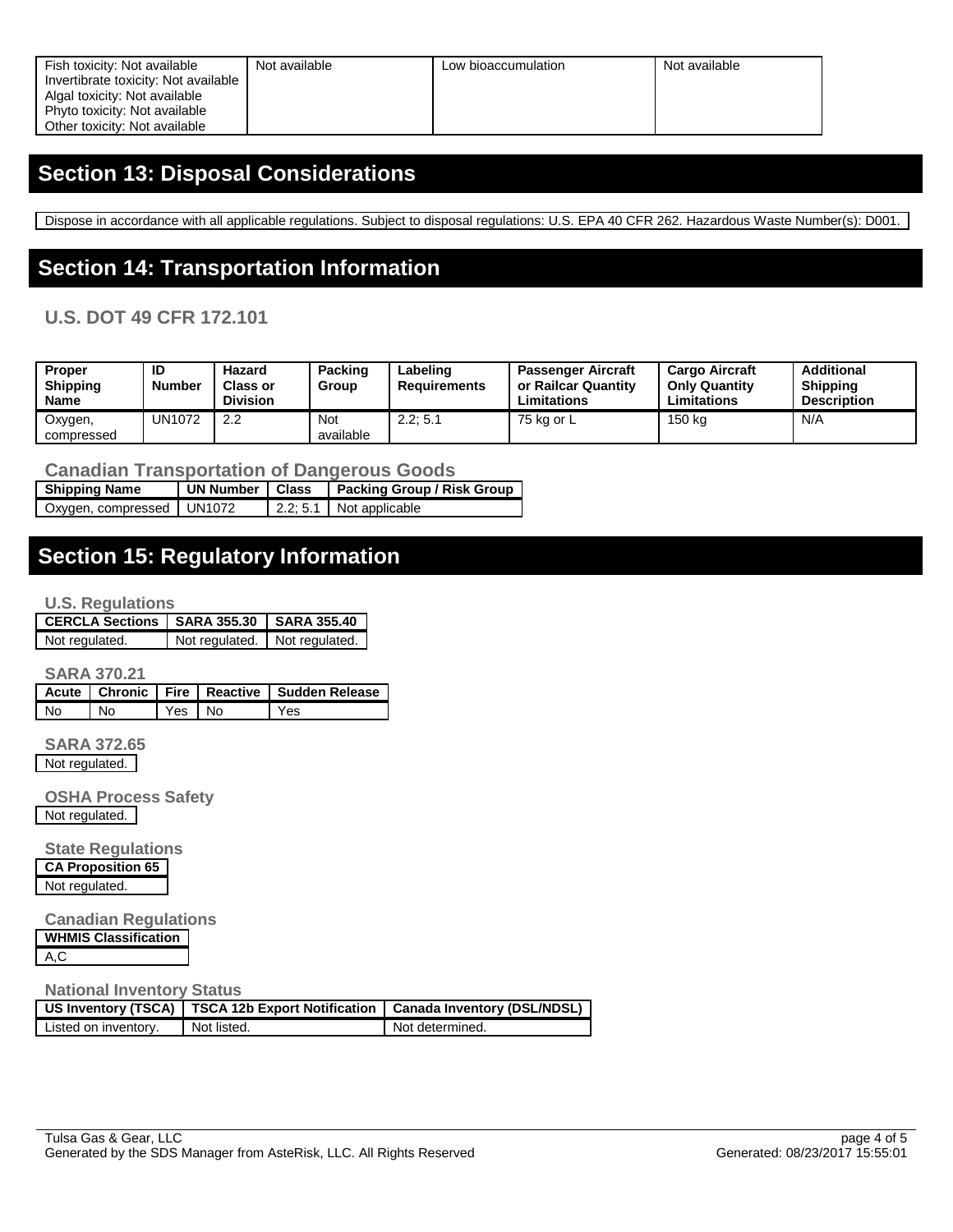| Fish toxicity: Not available         | Not available | Low bioaccumulation | Not available |
|--------------------------------------|---------------|---------------------|---------------|
| Invertibrate toxicity: Not available |               |                     |               |
| Algal toxicity: Not available        |               |                     |               |
| Phyto toxicity: Not available        |               |                     |               |
| Other toxicity: Not available        |               |                     |               |

### **Section 13: Disposal Considerations**

Dispose in accordance with all applicable regulations. Subject to disposal regulations: U.S. EPA 40 CFR 262. Hazardous Waste Number(s): D001.

### **Section 14: Transportation Information**

#### **U.S. DOT 49 CFR 172.101**

| <b>Proper</b><br><b>Shipping</b><br>Name | ID<br>Number | Hazard<br><b>Class or</b><br><b>Division</b> | Packing<br>Group        | Labeling<br><b>Requirements</b> | <b>Passenger Aircraft</b><br>or Railcar Quantity<br>∟imitations | <b>Cargo Aircraft</b><br><b>Only Quantity</b><br>Limitations | Additional<br><b>Shipping</b><br><b>Description</b> |
|------------------------------------------|--------------|----------------------------------------------|-------------------------|---------------------------------|-----------------------------------------------------------------|--------------------------------------------------------------|-----------------------------------------------------|
| Oxygen,<br>compressed                    | UN1072       | 2.2                                          | <b>Not</b><br>available | 2.2:5.1                         | 75 ka or L                                                      | 150 kg                                                       | N/A                                                 |

**Canadian Transportation of Dangerous Goods**

| <b>Shipping Name</b>        | UN Number   Class | <b>Packing Group / Risk Group</b> |
|-----------------------------|-------------------|-----------------------------------|
| Oxygen, compressed   UN1072 |                   | $\vert$ 2.2; 5.1 Not applicable   |

### **Section 15: Regulatory Information**

#### **U.S. Regulations**

| CERCLA Sections   SARA 355.30   SARA 355.40 |                               |
|---------------------------------------------|-------------------------------|
| Not regulated.                              | Not regulated. Not regulated. |

**SARA 370.21**

|      |                |        | Acute   Chronic   Fire   Reactive   Sudden Release |
|------|----------------|--------|----------------------------------------------------|
| l No | $\overline{M}$ | Yes No | 'Yes                                               |

**SARA 372.65** Not regulated.

**OSHA Process Safety** Not regulated.

**State Regulations CA Proposition 65** Not regulated.

**Canadian Regulations WHMIS Classification**

A,C

#### **National Inventory Status**

|                      | US Inventory (TSCA)   TSCA 12b Export Notification   Canada Inventory (DSL/NDSL) |                 |
|----------------------|----------------------------------------------------------------------------------|-----------------|
| Listed on inventory. | Not listed.                                                                      | Not determined. |